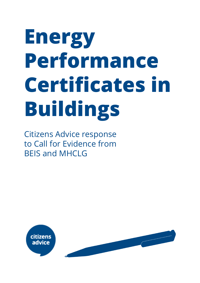# **Energy Performance Certificates in Buildings**

Citizens Advice response to Call for Evidence from BEIS and MHCLG

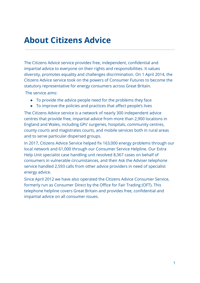## **About Citizens Advice**

The Citizens Advice service provides free, independent, confidential and impartial advice to everyone on their rights and responsibilities. It values diversity, promotes equality and challenges discrimination. On 1 April 2014, the Citizens Advice service took on the powers of Consumer Futures to become the statutory representative for energy consumers across Great Britain.

The service aims:

- To provide the advice people need for the problems they face
- To improve the policies and practices that affect people's lives

The Citizens Advice service is a network of nearly 300 independent advice centres that provide free, impartial advice from more than 2,900 locations in England and Wales, including GPs' surgeries, hospitals, community centres, county courts and magistrates courts, and mobile services both in rural areas and to serve particular dispersed groups.

In 2017, Citizens Advice Service helped fix 163,000 energy problems through our local network and 61,000 through our Consumer Service Helpline. Our Extra Help Unit specialist case handling unit resolved 8,367 cases on behalf of consumers in vulnerable circumstances, and their Ask the Adviser telephone service handled 2,593 calls from other advice providers in need of specialist energy advice.

Since April 2012 we have also operated the Citizens Advice Consumer Service, formerly run as Consumer Direct by the Office for Fair Trading (OFT). This telephone helpline covers Great Britain and provides free, confidential and impartial advice on all consumer issues.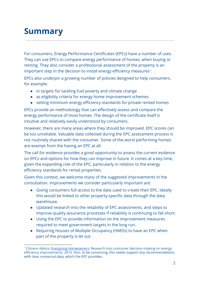# **Summary**

For consumers, Energy Performance Certificates (EPCs) have a number of uses. They can use EPCs to compare energy performance of homes, when buying or renting. They also consider a professional assessment of the property is an important step in the decision to install energy efficiency measures $^1$ .

EPCs also underpin a growing number of policies designed to help consumers, for example:

- in targets for tackling fuel poverty and climate change
- as eligibility criteria for energy home improvement schemes
- setting minimum energy efficiency standards for private rented homes

EPCs provide an methodology that can effectively assess and compare the energy performance of most homes. The design of the certificate itself is intuitive and relatively easily understood by consumers.

However, there are many areas where they should be improved. EPC scores can be too unreliable. Valuable data collected during the EPC assessment process is not routinely shared with the consumer. Some of the worst performing homes are exempt from the having an EPC at all.

The call for evidence provides a good opportunity to assess the current evidence on EPCs and options for how they can improve in future. It comes at a key time, given the expanding role of the EPC, particularly in relation to the energy efficiency standards for rental properties.

Given this context, we welcome many of the suggested improvements in the consultation. Improvements we consider particularly important are:

- Giving consumers full access to the data used to create their EPC. Ideally this would be linked to other property-specific data through the data warehouse.
- Updated research into the reliability of EPC assessments, and steps to improve quality assurance processes if reliability is continuing to fall short.
- Using the EPC to provide information on the improvement measures required to meet government targets in the long run.
- Requiring Houses of Multiple Occupancy (HMOs) to have an EPC when part of the property is let out

<sup>&</sup>lt;sup>1</sup> Citizens Advice, Energising [Homeowners:](https://www.citizensadvice.org.uk/Global/CitizensAdvice/Energy/Energising%20homeowners%20-%20final%20updated.pdf) Research into consumer decision-making on energy efficiency improvements, 2016. Also, to be convincing, this needs support any recommendations with clear numerical data, which the EPC provides.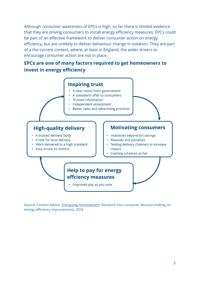Although consumer awareness of EPCs is high, so far there is limited evidence that they are driving consumers to install energy efficiency measures. EPCs could be part of an effective framework to deliver consumer action on energy efficiency, but are unlikely to deliver behaviour change in isolation. They are part of a the current context, where, at least in England, the wider drivers to encourage consumer action are not in place.

## **EPCs are one of many factors required to get homeowners to invest in energy efficiency**



Source: Citizens Advice, Energising [Homeowners](https://www.citizensadvice.org.uk/Global/CitizensAdvice/Energy/Energising%20homeowners%20-%20final%20updated.pdf): Research into consumer decision-making on energy efficiency improvements, 2016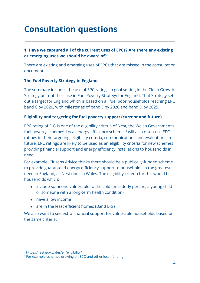# **Consultation questions**

## **1. Have we captured all of the current uses of EPCs? Are there any existing or emerging uses we should be aware of?**

There are existing and emerging uses of EPCs that are missed in the consultation document.

## **The Fuel Poverty Strategy in England**

The summary includes the use of EPC ratings in goal setting in the Clean Growth Strategy but not their use in Fuel Poverty Strategy for England. That Strategy sets out a target for England which is based on all fuel poor households reaching EPC band C by 2020, with milestones of band E by 2020 and band D by 2025.

#### **Eligibility and targeting for fuel poverty support (current and future)**

EPC rating of E-G is one of the eligibility criteria of Nest, the Welsh Government's fuel poverty scheme<sup>2</sup>. Local energy efficiency schemes<sup>3</sup> will also often use EPC ratings in their targeting, eligibility criteria, communications and evaluation. In future, EPC ratings are likely to be used as an eligibility criteria for new schemes providing financial support and energy efficiency installations to households in need.

For example, Citizens Advice thinks there should be a publically-funded scheme to provide guaranteed energy efficiency support to households in the greatest need in England, as Nest does in Wales. The eligibility criteria for this would be households which:

- include someone vulnerable to the cold (an elderly person, a young child or someone with a long-term health condition)
- have a low income
- are in the least efficient homes (Band E-G)

We also want to see extra financial support for vulnerable households based on the same criteria.

<sup>2</sup> https://nest.gov.wales/en/eligibility/

<sup>&</sup>lt;sup>3</sup> For example schemes drawing on ECO and other local funding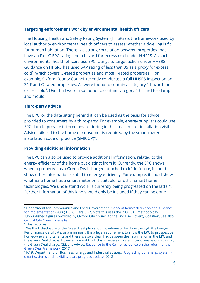## **Targeting enforcement work by environmental health officers**

The Housing Health and Safety Rating System (HHSRS) is the framework used by local authority environmental health officers to assess whether a dwelling is fit for human habitation. There is a strong correlation between properties that have an F or G EPC rating and a hazard for excess cold under HHSRS. As such, environmental health officers use EPC ratings to target action under HHSRS. Guidance on HHSRS has used SAP rating of less than 35 as a proxy for excess  $\text{cold}^4$ , which covers G-rated properties and most F-rated properties. For example, Oxford County Council recently conducted a full HHSRS inspection on 31 F and G-rated properties. All were found to contain a category 1 hazard for excess cold<sup>5</sup>. Over half were also found to contain category 1 hazard for damp and mould.

### **Third-party advice**

The EPC, or the data sitting behind it, can be used as the basis for advice provided to consumers by a third-party. For example, energy suppliers could use EPC data to provide tailored advice during in the smart meter installation visit. Advice tailored to the home or consumer is required by the smart meter installation code of practice (SMICOP)<sup>6</sup>.

#### **Providing additional information**

The EPC can also be used to provide additional information, related to the energy efficiency of the home but distinct from it. Currently, the EPC shows when a property has a Green Deal charged attached to it<sup>7</sup>. In future, it could show other information related to energy efficiency. For example, it could show whether a home has a smart meter or is suitable for other smart home  $t$ echnologies. We understand work is currently being progressed on the latter ${}^{8}$ . Further information of this kind should only be included if they can be done

<sup>4</sup> Department for Communities and Local Government, A decent home: [definition](https://www.gov.uk/government/uploads/system/uploads/attachment_data/file/7812/138355.pdf) and guidance for [implementation](https://www.gov.uk/government/uploads/system/uploads/attachment_data/file/7812/138355.pdf) (2006) DCLG. Para 5.27. Note this uses the 2001 SAP methodology <sup>5</sup>Unpublished figures provided by Oxford City Council to the End Fuel Poverty Coalition. See also Oxford City Council [website](https://www.oxford.gov.uk/info/20277/energy_efficiency_in_private_housing/1220/energy_efficiency_in_private_rented_housing/2)

<sup>6</sup> This requires

<sup>&</sup>lt;sup>7</sup> We think disclosure of the Green Deal plan should continue to be done through the Energy Performance Certificate, as a minimum. It is a legal requirement to show the EPC to prospective homeowners and tenants and there is also a clear link between the information in the EPC and the Green Deal charge. However, we not think this is necessarily a sufficient means of disclosing the Green Deal charge. Citizens Advice, [Response](https://www.citizensadvice.org.uk/Global/CitizensAdvice/Energy/Energy%20Consultation%20responses/Citizens%20Advice%20response%20to%20BEIS%20Call%20for%20evidence%20on%20the%20Green%20Deal%20Framework,%20November%202017%20Final%20(1)%20(1).pdf) to the Call for evidence on the reform of the Green Deal [Framework,](https://www.citizensadvice.org.uk/Global/CitizensAdvice/Energy/Energy%20Consultation%20responses/Citizens%20Advice%20response%20to%20BEIS%20Call%20for%20evidence%20on%20the%20Green%20Deal%20Framework,%20November%202017%20Final%20(1)%20(1).pdf) 2017

<sup>&</sup>lt;sup>8</sup> P.19, Department for Business, Energy and Industrial Strategy, [Upgrading](https://assets.publishing.service.gov.uk/government/uploads/system/uploads/attachment_data/file/748125/ssfp-progress-update.pdf) our energy system smart systems and [flexibility](https://assets.publishing.service.gov.uk/government/uploads/system/uploads/attachment_data/file/748125/ssfp-progress-update.pdf) plan: progress update, 2018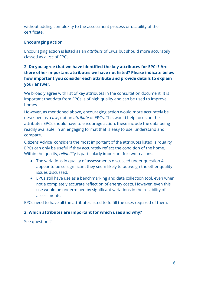without adding complexity to the assessment process or usability of the certificate.

## **Encouraging action**

Encouraging action is listed as an *attribute* of EPCs but should more accurately classed as a *use* of EPCs.

## **2. Do you agree that we have identified the key attributes for EPCs? Are there other important attributes we have not listed? Please indicate below how important you consider each attribute and provide details to explain your answer.**

We broadly agree with list of key attributes in the consultation document. It is important that data from EPCs is of high quality and can be used to improve homes.

However, as mentioned above, encouraging action would more accurately be described as a *use*, not an *attribute* of EPCs. This would help focus on the attributes EPCs should have to encourage action, these include the data being readily available, in an engaging format that is easy to use, understand and compare.

Citizens Advice considers the most important of the attributes listed is 'quality'. EPCs can only be useful if they accurately reflect the condition of the home. Within the quality, *reliability* is particularly important for two reasons:

- The variations in quality of assessments discussed under question 4 appear to be so significant they seem likely to outweigh the other quality issues discussed.
- EPCs still have use as a benchmarking and data collection tool, even when not a completely accurate reflection of energy costs. However, even this use would be undermined by significant variations in the reliability of assessments.

EPCs need to have all the attributes listed to fulfill the uses required of them.

#### **3. Which attributes are important for which uses and why?**

See question 2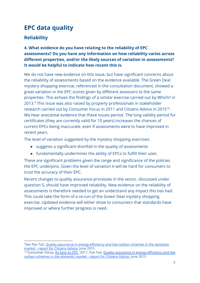## **EPC data quality**

## **Reliability**

**4. What evidence do you have relating to the reliability of EPC assessments? Do you have any information on how reliability varies across different properties, and/or the likely sources of variation in assessments? It would be helpful to indicate how recent this is.**

We do not have new evidence on this issue, but have significant concerns about the reliability of assessments based on the evidence available. The Green Deal mystery shopping exercise, referenced in the consultation document, showed a great variation in the EPC scores given by different assessors to the same properties. This echoes the findings of a similar exercise carried out by Which? in 2013.<sup>9</sup> This issue was also raised by property professionals in stakeholder research carried out by Consumer Focus in 2011 and Citizens Advice in 2015<sup>10</sup>. We hear anecdotal evidence that these issues persist. The long validity period for certificates (they are currently valid for 10 years) increases the chances of current EPCs being inaccurate, even if assessments were to have improved in recent years.

The level of variation suggested by the mystery shopping exercises:

- suggests a significant shortfall in the quality of assessments
- fundamentally undermines the ability of EPCs to fulfill their uses.

These are significant problems given the range and significance of the policies the EPC underpins. Given the level of variation it will be hard for consumers to trust the accuracy of their EPC.

Recent changes to quality assurance processes in the sector, discussed under question 5, should have improved reliability. New evidence on the reliability of assessments is therefore needed to get an understand any impact this has had. This could take the form of a re-run of the Green Deal mystery shopping exercise. Updated evidence will either show to consumers that standards have improved or where further progress is need.

<sup>9</sup>See Pye Tait, Quality [assurance](https://www.citizensadvice.org.uk/about-us/policy/policy-research-topics/energy-policy-research-and-consultation-responses/energy-policy-research/quality-assurance-in-energy-efficiency-and-low-carbon-schemes-in-the-domestic-market/) in energy efficiency and low carbon schemes in the domestic market - report for [Citizens](https://www.citizensadvice.org.uk/about-us/policy/policy-research-topics/energy-policy-research-and-consultation-responses/energy-policy-research/quality-assurance-in-energy-efficiency-and-low-carbon-schemes-in-the-domestic-market/) Advice, June 2015

<sup>&</sup>lt;sup>10</sup> Consumer Focus, As [Easy](http://webarchive.nationalarchives.gov.uk/20120117163324/http://www.consumerfocus.org.uk/uncategorized/as-easy-as-epc-consumer-views-on-the-content-and-format-of-the-energy-performance-certifcate) As EPC, 2011; Pye Tait, Quality [assurance](https://www.citizensadvice.org.uk/about-us/policy/policy-research-topics/energy-policy-research-and-consultation-responses/energy-policy-research/quality-assurance-in-energy-efficiency-and-low-carbon-schemes-in-the-domestic-market/) in energy efficiency and low carbon schemes in the [domestic](https://www.citizensadvice.org.uk/about-us/policy/policy-research-topics/energy-policy-research-and-consultation-responses/energy-policy-research/quality-assurance-in-energy-efficiency-and-low-carbon-schemes-in-the-domestic-market/) market - report for Citizens Advice, June 2015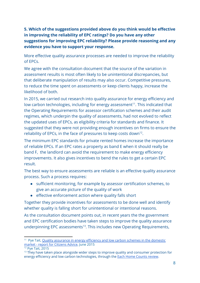## **5. Which of the suggestions provided above do you think would be effective in improving the reliability of EPC ratings? Do you have any other suggestions for improving EPC reliability? Please provide reasoning and any evidence you have to support your response.**

More effective quality assurance processes are needed to improve the reliability of EPCs.

We agree with the consultation document that the source of the variation in assessment results is most often likely to be unintentional discrepancies, but that deliberate manipulation of results may also occur. Competitive pressures, to reduce the time spent on assessments or keep clients happy, increase the likelihood of both.

In 2015, we carried out research into quality assurance for energy efficiency and low carbon technologies, including for energy assessment<sup>11</sup>. This indicated that the Operating Requirements for assessor certification schemes and their audit regimes, which underpin the quality of assessments, had not evolved to reflect the updated uses of EPCs, as eligibility criteria for standards and finance. It suggested that they were not providing enough incentives on firms to ensure the reliability of EPCs, in the face of pressures to keep costs down<sup>12</sup>.

The minimum EPC standards for private rented homes increase the importance of reliable EPCs. If an EPC rates a property as band E when it should really be band F, the landlord can avoid the requirement to make energy efficiency improvements. It also gives incentives to bend the rules to get a certain EPC result.

The best way to ensure assessments are reliable is an effective quality assurance process. Such a process requires:

- sufficient monitoring, for example by assessor certification schemes, to give an accurate picture of the quality of work
- effective enforcement action where quality falls short

Together they provide incentives for assessments to be done well and identify whether quality is falling short for unintentional or intentional reasons.

As the consultation document points out, in recent years the the government and EPC certification bodies have taken steps to improve the quality assurance underpinning EPC assessments<sup>13</sup>. This includes new Operating Requirements,

<sup>&</sup>lt;sup>11</sup> Pye Tait, Quality [assurance](https://www.citizensadvice.org.uk/about-us/policy/policy-research-topics/energy-policy-research-and-consultation-responses/energy-policy-research/quality-assurance-in-energy-efficiency-and-low-carbon-schemes-in-the-domestic-market/) in energy efficiency and low carbon schemes in the domestic market - report for [Citizens](https://www.citizensadvice.org.uk/about-us/policy/policy-research-topics/energy-policy-research-and-consultation-responses/energy-policy-research/quality-assurance-in-energy-efficiency-and-low-carbon-schemes-in-the-domestic-market/) Advice, June 2015

<sup>12</sup> Pye Tait, 2015

 $13$  They have taken place alongside wider steps to improve quality and consumer protection for energy efficiency and low carbon technologies, through the Each Home [Counts](https://www.gov.uk/government/publications/each-home-counts-review-of-consumer-advice-protection-standards-and-enforcement-for-energy-efficiency-and-renewable-energy) review.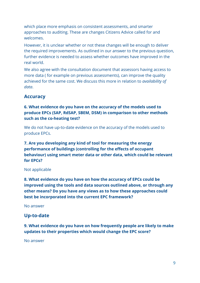which place more emphasis on consistent assessments, and smarter approaches to auditing. These are changes Citizens Advice called for and welcomes.

However, it is unclear whether or not these changes will be enough to deliver the required improvements. As outlined in our answer to the previous question, further evidence is needed to assess whether outcomes have improved in the real world.

We also agree with the consultation document that assessors having access to more data ( for example on previous assessments), can improve the quality achieved for the same cost. We discuss this more in relation to *availability of data*.

## **Accuracy**

## **6. What evidence do you have on the accuracy of the models used to produce EPCs (SAP, RdSAP, SBEM, DSM) in comparison to other methods such as the co-heating test?**

We do not have up-to-date evidence on the accuracy of the models used to produce EPCs.

**7. Are you developing any kind of tool for measuring the energy performance of buildings (controlling for the effects of occupant behaviour) using smart meter data or other data, which could be relevant for EPCs?**

#### Not applicable

**8. What evidence do you have on how the accuracy of EPCs could be improved using the tools and data sources outlined above, or through any other means? Do you have any views as to how these approaches could best be incorporated into the current EPC framework?**

No answer

## **Up-to-date**

**9. What evidence do you have on how frequently people are likely to make updates to their properties which would change the EPC score?**

No answer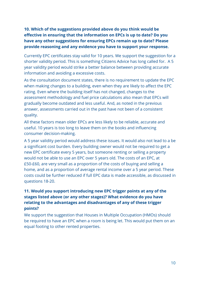## **10. Which of the suggestions provided above do you think would be effective in ensuring that the information on EPCs is up to date? Do you have any other suggestions for ensuring EPCs remain up to date? Please provide reasoning and any evidence you have to support your response.**

Currently EPC certificates stay valid for 10 years. We support the suggestion for a shorter validity period. This is something Citizens Advice has long called for. A 5 year validity period would strike a better balance between providing accurate information and avoiding a excessive costs.

As the consultation document states, there is no requirement to update the EPC when making changes to a building, even when they are likely to affect the EPC rating. Even where the building itself has not changed, changes to the assessment methodology and fuel price calculations also mean that EPCs will gradually become outdated and less useful. And, as noted in the previous answer, assessments carried out in the past have not been of a consistent quality.

All these factors mean older EPCs are less likely to be reliable, accurate and useful. 10 years is too long to leave them on the books and influencing consumer decision-making.

A 5 year validity period would address these issues. It would also not lead to a be a significant cost burden. Every building owner would not be required to get a new EPC certificate every 5 years, but someone renting or selling a property would not be able to use an EPC over 5 years old. The costs of an EPC, at £50-£60, are very small as a proportion of the costs of buying and selling a home, and as a proportion of average rental income over a 5 year period. These costs could be further reduced if full EPC data is made accessible, as discussed in questions 18-20.

## **11. Would you support introducing new EPC trigger points at any of the stages listed above (or any other stages)? What evidence do you have relating to the advantages and disadvantages of any of these trigger points?**

We support the suggestion that Houses in Multiple Occupation (HMOs) should be required to have an EPC when a room is being let. This would put them on an equal footing to other rented properties.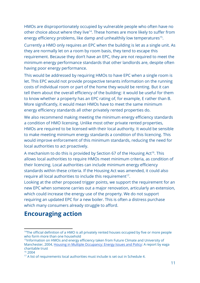HMOs are disproportionately occupied by vulnerable people who often have no other choice about where they live<sup>14</sup>. These homes are more likely to suffer from energy efficiency problems, like damp and unhealthily low temperatures<sup>15</sup>.

Currently a HMO only requires an EPC when the building is let as a single unit. As they are normally let on a room by room basis, they tend to escape this requirement. Because they don't have an EPC, they are not required to meet the minimum energy performance standards that other landlords are, despite often having poor energy performance.

This would be addressed by requiring HMOs to have EPC when a single room is let. This EPC would not provide prospective tenants information on the running costs of individual room or part of the home they would be renting. But it can tell them about the overall efficiency of the building: it would be useful for them to know whether a property has an EPC rating of, for example, E rather than B. More significantly, it would mean HMOs have to meet the same minimum energy efficiency standards all other privately rented properties do.

We also recommend making meeting the minimum energy efficiency standards a condition of HMO licensing. Unlike most other private rented properties, HMOs are required to be licensed with their local authority. It would be sensible to make meeting minimum energy standards a condition of this licencing. This would improve enforcement of this minimum standards, reducing the need for local authorities to act proactively.

A mechanism to do this is provided by Section 67 of the Housing Act<sup>16</sup>. This allows local authorities to require HMOs meet minimum criteria, as condition of their licencing. Local authorities can include minimum energy efficiency standards within these criteria. If the Housing Act was amended, it could also require all local authorities to include this requirement $17$ .

Looking at the other proposed trigger points, we support the requirement for an new EPC when someone carries out a major renovation, articularly an extension, which could increase the energy use of the property. We do not support requiring an updated EPC for a new boiler. This is often a distress purchase which many consumers already struggle to afford.

## **Encouraging action**

<sup>&</sup>lt;sup>14</sup>The official definition of a HMO is all privately rented houses occupied by five or more people who form more than one household

<sup>&</sup>lt;sup>15</sup>Information on HMOs and energy efficiency taken from Future Climate and University of Manchester, 2004, Housing in Multiple [Occupancy:](http://futureclimate.org.uk/wp-content/uploads/2014/07/HOME-Policy-Report-FINAL.pdf) Energy Issues and Policy: A report by eaga charitable trust

<sup>16</sup> 2004

<sup>&</sup>lt;sup>17</sup> A list of requirements local authorities must include is set out in Schedule 4.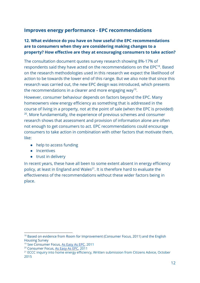## **Improves energy performance - EPC recommendations**

## **12. What evidence do you have on how useful the EPC recommendations are to consumers when they are considering making changes to a property? How effective are they at encouraging consumers to take action?**

The consultation document quotes survey research showing 8%-17% of respondents said they have acted on the recommendations on the EPC<sup>18</sup>. Based on the research methodologies used in this research we expect the likelihood of action to be towards the lower end of this range. But we also note that since this research was carried out, the new EPC design was introduced, which presents the recommendations in a clearer and more engaging way<sup>19</sup>.

However, consumer behaviour depends on factors beyond the EPC. Many homeowners view energy efficiency as something that is addressed in the course of living in a property, not at the point of sale (when the EPC is provided) <sup>20</sup>. More fundamentally, the experience of previous schemes and consumer research shows that assessment and provision of information alone are often not enough to get consumers to act. EPC recommendations could encourage consumers to take action in combination with other factors that motivate them, like:

- help to access funding
- Incentives
- trust in delivery

In recent years, these have all been to some extent absent in energy efficiency policy, at least in England and Wales $^{21}$ . It is therefore hard to evaluate the effectiveness of the recommendations without these wider factors being in place.

<sup>&</sup>lt;sup>18</sup> Based on evidence from Room for Improvement (Consumer Focus, 2011) and the English Housing Survey

<sup>&</sup>lt;sup>19</sup> See Consumer Focus, As [Easy](http://webarchive.nationalarchives.gov.uk/20120117163324/http://www.consumerfocus.org.uk/uncategorized/as-easy-as-epc-consumer-views-on-the-content-and-format-of-the-energy-performance-certifcate) As EPC, 2011

<sup>20</sup> Consumer Focus, As [Easy](http://webarchive.nationalarchives.gov.uk/20120117163324/http://www.consumerfocus.org.uk/uncategorized/as-easy-as-epc-consumer-views-on-the-content-and-format-of-the-energy-performance-certifcate) As EPC, 2011

<sup>&</sup>lt;sup>21</sup> ECCC inquiry into home energy efficiency, Written submission from Citizens Advice, October 2015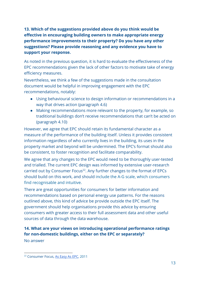**13. Which of the suggestions provided above do you think would be effective in encouraging building owners to make appropriate energy performance improvements to their property? Do you have any other suggestions? Please provide reasoning and any evidence you have to support your response.**

As noted in the previous question, it is hard to evaluate the effectiveness of the EPC recommendations given the lack of other factors to motivate take of energy efficiency measures.

Nevertheless, we think a few of the suggestions made in the consultation document would be helpful in improving engagement with the EPC recommendations, notably:

- Using behavioural science to design information or recommendations in a way that drives action (paragraph 4.6)
- Making recommendations more relevant to the property, for example, so traditional buildings don't receive recommendations that can't be acted on (paragraph 4.10)

However, we agree that EPC should retain its fundamental character as a measure of the performance of the building itself. Unless it provides consistent information regardless of who currently lives in the building, its uses in the property market and beyond will be undermined. The EPC's format should also be consistent, to foster recognition and facilitate comparability.

We agree that any changes to the EPC would need to be thoroughly user-tested and trialled. The current EPC design was informed by extensive user-research carried out by Consumer Focus<sup>22</sup>. Any further changes to the format of EPCs should build on this work, and should include the A-G scale, which consumers find recognisable and intuitive.

There are great opportunities for consumers for better information and recommendations based on personal energy use patterns. For the reasons outlined above, this kind of advice be provide outside the EPC itself. The government should help organisations provide this advice by ensuring consumers with greater access to their full assessment data and other useful sources of data through the data warehouse.

## **14. What are your views on introducing operational performance ratings for non-domestic buildings, either on the EPC or separately?**

No answer

<sup>22</sup> Consumer Focus, As [Easy](http://webarchive.nationalarchives.gov.uk/20120117163324/http://www.consumerfocus.org.uk/uncategorized/as-easy-as-epc-consumer-views-on-the-content-and-format-of-the-energy-performance-certifcate) As EPC, 2011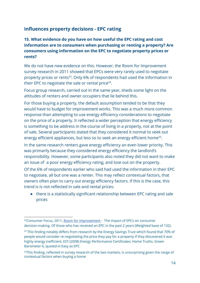## **Influences property decisions - EPC rating**

## **15. What evidence do you have on how useful the EPC rating and cost information are to consumers when purchasing or renting a property? Are consumers using information on the EPC to negotiate property prices or rents?**

We do not have new evidence on this. However, the Room for Improvement survey research in 2011 showed that EPCs were very rarely used to negotiate property prices or rents<sup>23</sup>. Only 6% of respondents had used the information in their EPC to negotiate the sale or rental price $24$ .

Focus group research, carried out in the same year, sheds some light on the attitudes of renters and owner occupiers that lie behind this.

For those buying a property, the default assumption tended to be that they would have to budget for improvement works. This was a much more common response than attempting to use energy efficiency considerations to negotiate on the price of a property. It reflected a wider perception that energy efficiency is something to be address in the course of living in a property, not at the point of sale. Several participants stated that they considered it normal to seek out energy efficient appliances, but less so to seek an energy efficient home<sup>25</sup>.

In the same research renters gave energy efficiency an even lower priority. This was primarily because they considered energy efficiency the landlord's responsibility. However, some participants also noted they did not want to make an issue of a poor energy efficiency rating, and lose out on the property.

Of the 6% of respondents earlier who said had used the information in their EPC to negotiate, all but one was a renter. This may reflect contextual factors, that owners often plan to carry out energy efficiency factors. If this is the case, this trend is is not reflected in sale and rental prices:

● there is a statistically significant relationship between EPC rating and sale prices

<sup>&</sup>lt;sup>23</sup>Consumer Focus, 2011, Room for [improvement](http://webarchive.nationalarchives.gov.uk/20120117165059/http://www.consumerfocus.org.uk/publications/room-for-improvement-the-impact-of-epcs-on-consumer-decision-making) - The impact of EPCs on consumer decision-making. Of those who has received an EPC in the past 2 years (Weighted base of 132).

<sup>&</sup>lt;sup>24</sup> This finding notably differs from research by the Energy Savings Trust which found that 70% of people would consider re-negotiating the price they pay for a property if they discovered it was highly energy inefficient, EST (2008) Energy Performance Certificates: Home Truths. Green Barometer 6, quoted in Easy as EPC

 $25$ This finding, reflected in survey research of the two markets, is unsurprising given the range of contextual factors when buying a home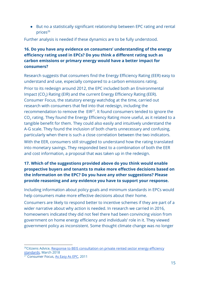● But no a statistically significant relationship between EPC rating and rental  $prices<sup>26</sup>$ 

Further analysis is needed if these dynamics are to be fully understood.

## **16. Do you have any evidence on consumers' understanding of the energy efficiency rating used in EPCs? Do you think a different rating such as carbon emissions or primary energy would have a better impact for consumers?**

Research suggests that consumers find the Energy Efficiency Rating (EER) easy to understand and use, especially compared to a carbon emissions rating. Prior to its redesign around 2012, the EPC included both an Environmental Impact (CO<sub>2</sub>) Rating (EIR) and the current Energy Efficiency Rating (EER). Consumer Focus, the statutory energy watchdog at the time, carried out research with consumers that fed into that redesign, including the recommendation to remove the  $EIR<sup>27</sup>$ . It found consumers tended to ignore the CO $_{\rm 2}$  rating. They found the Energy Efficiency Rating more useful, as it related to a tangible benefit for them. They could also easily and intuitively understand the A-G scale. They found the inclusion of both charts unnecessary and confusing, particularly when there is such a close correlation between the two indicators. With the EER, consumers still struggled to understand how the rating translated into monetary savings. They responded best to a combination of both the EER and cost information, a proposal that was taken up in the redesign.

## **17. Which of the suggestions provided above do you think would enable prospective buyers and tenants to make more effective decisions based on the information on the EPC? Do you have any other suggestions? Please provide reasoning and any evidence you have to support your response.**

Including information about policy goals and minimum standards in EPCs would help consumers make more effective decisions about their home.

Consumers are likely to respond better to incentive schemes if they are part of a wider narrative about why action is needed. In research we carried in 2016, homeowners indicated they did not feel there had been convincing vision from government on home energy efficiency and individuals' role in it. They viewed government policy as inconsistent. Some thought climate change was no longer

<sup>&</sup>lt;sup>26</sup>Citizens Advice, Response to BEIS [consultation](https://www.citizensadvice.org.uk/Global/CitizensAdvice/Energy/Energy%20Consultation%20responses/peter%20broad%20-%20Citizens%20Advice%20response%20to%20BEIS%20Call%20for%20Evidence%20on%20Building%20a%20Market%20for%20Energy%20Efficiency.pdf) on private rented sector energy efficiency [standards,](https://www.citizensadvice.org.uk/Global/CitizensAdvice/Energy/Energy%20Consultation%20responses/peter%20broad%20-%20Citizens%20Advice%20response%20to%20BEIS%20Call%20for%20Evidence%20on%20Building%20a%20Market%20for%20Energy%20Efficiency.pdf) March 2018

<sup>&</sup>lt;sup>27</sup> Consumer Focus, As [Easy](http://webarchive.nationalarchives.gov.uk/20120117163324/http://www.consumerfocus.org.uk/uncategorized/as-easy-as-epc-consumer-views-on-the-content-and-format-of-the-energy-performance-certifcate) As EPC, 2011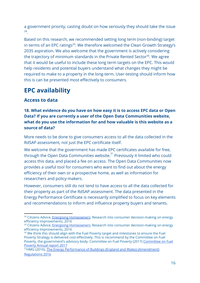a government priority, casting doubt on how seriously they should take the issue . 28

Based on this research, we recommended setting long term (non-binding) target in terms of an EPC ratings<sup>29</sup>. We therefore welcomed the Clean Growth Strategy's 2035 aspiration. We also welcome that the government is actively considering the trajectory of minimum standards in the Private Rented Sector<sup>30</sup>. We agree that it would be useful to include these long term targets on the EPC. This would help residents and potential buyers understand what changes they might be required to make to a property in the long-term. User-testing should inform how this is can be presented most effectively to consumers.

## **EPC availability**

## **Access to data**

## **18. What evidence do you have on how easy it is to access EPC data or Open Data? If you are currently a user of the Open Data Communities website, what do you use the information for and how valuable is this website as a source of data?**

More needs to be done to give consumers access to all the data collected in the RdSAP assessment, not just the EPC certificate itself.

We welcome that the government has made EPC certificates available for free, through the Open Data Communities website.<sup>31</sup> Previously it limited who could access this data, and placed a fee on access. The Open Data Communities now provides a useful tool for consumers who want to find out about the energy efficiency of their own or a prospective home, as well as information for researchers and policy-makers.

However, consumers still do not tend to have access to all the data collected for their property as part of the RdSAP assessment. The data presented in the Energy Performance Certificate is necessarily simplified to focus on key elements and recommendations to inform and influence property buyers and tenants.

<sup>&</sup>lt;sup>28</sup> Citizens Advice, **Energising [Homeowners](https://www.citizensadvice.org.uk/Global/CitizensAdvice/Energy/Energising%20homeowners%20-%20final%20updated.pdf):** Research into consumer decision-making on energy efficiency improvements, 2016

<sup>&</sup>lt;sup>29</sup> Citizens Advice, **Energising [Homeowners](https://www.citizensadvice.org.uk/Global/CitizensAdvice/Energy/Energising%20homeowners%20-%20final%20updated.pdf): Research into consumer decision-making on energy** efficiency improvements, 2016

<sup>&</sup>lt;sup>30</sup> We think this should align with the Fuel Poverty target and milestones to ensure the Fuel Poverty Strategy is delivered cost-effectively. This is recommend by the Committee on Fuel Poverty, the government's advisory body. Committee on Fuel Poverty (2017) [Committee](https://assets.publishing.service.gov.uk/government/uploads/system/uploads/attachment_data/file/652701/CFP_report_formatted_-_final.pdf) on Fuel [Poverty](https://assets.publishing.service.gov.uk/government/uploads/system/uploads/attachment_data/file/652701/CFP_report_formatted_-_final.pdf) Annual report 2017

<sup>&</sup>lt;sup>31</sup> HMG (2016), The Energy Performance of Buildings (England and Wales) [\(Amendment\)](http://www.legislation.gov.uk/uksi/2016/284/schedule/made) [Regulations](http://www.legislation.gov.uk/uksi/2016/284/schedule/made) 2016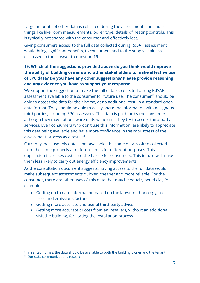Large amounts of other data is collected during the assessment. It includes things like like room measurements, boiler type, details of heating controls. This is typically not shared with the consumer and effectively lost.

Giving consumers access to the full data collected during RdSAP assessment, would bring significant benefits, to consumers and to the supply chain, as discussed in the answer to question 19.

## **19. Which of the suggestions provided above do you think would improve the ability of building owners and other stakeholders to make effective use of EPC data? Do you have any other suggestions? Please provide reasoning and any evidence you have to support your response.**

We support the suggestion to make the full dataset collected during RdSAP assessment available to the consumer for future use. The consumer $32$  should be able to access the data for their home, at no additional cost, in a standard open data format. They should be able to easily share the information with designated third parties, including EPC assessors. This data is paid for by the consumer, although they may not be aware of its value until they try to access third-party services. Even consumers who don't use this information, are likely to appreciate this data being available and have more confidence in the robustness of the assessment process as a result $^{33}$ .

Currently, because this data is not available, the same data is often collected from the same property at different times for different purposes. This duplication increases costs and the hassle for consumers. This in turn will make them less likely to carry out energy efficiency improvements.

As the consultation document suggests, having access to the full data would make subsequent assessments quicker, cheaper and more reliable. For the consumer, there are other uses of this data that may be equally beneficial, for example:

- Getting up to date information based on the latest methodology, fuel price and emissions factors.
- Getting more accurate and useful third-party advice
- Getting more accurate quotes from an installers, without an additional visit the building, facilitating the installation process

 $32$  In rented homes, the data should be available to both the building owner and the tenant.

<sup>&</sup>lt;sup>33</sup> Our data communications research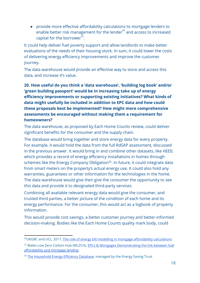● provide more effective affordability calculations to mortgage lenders to enable better risk management for the lender $34$  and access to increased capital for the borrower $^{35}$ .

It could help deliver fuel poverty support and allow landlords to make better evaluations of the needs of their housing stock. In sum, it could lower the costs of delivering energy efficiency improvements and improve the customer journey.

The data warehouse would provide an effective way to store and access this data, and increase it's value.

## **20. How useful do you think a 'data warehouse', 'building log book' and/or 'green building passport' would be in increasing take up of energy efficiency improvements or supporting existing initiatives? What kinds of data might usefully be included in addition to EPC data and how could these proposals best be implemented? How might more comprehensive assessments be encouraged without making them a requirement for homeowners?**

The data warehouse, as proposed by Each Home Counts review, could deliver significant benefits for the consumer and the supply chain.

The database would bring together and store energy data for every property. For example, it would hold the data from the full RdSAP assessment, discussed in the previous answer. It would bring in and combine other datasets, like *HEED,* which provides a record of energy efficiency installations in homes through schemes like the Energy Company Obligation<sup>36</sup>. In future, it could integrate data from smart meters on the property's actual energy use. It could also hold any warranties, guarantees or other information for the technologies in the home. The data warehouse would give then give the consumer the opportunity to see this data and provide it to designated third-party services.

Combining all available relevant energy data would give the consumer, and trusted third parties, a better picture of the condition of each home and its energy performance. For the consumer, this would act as a logbook of property information.

This would provide cost savings, a better customer journey and better-informed decision-making. Bodies like the Each Home Counts quality mark body, could

<sup>34</sup>UKGBC and UCL, 2017, The role of energy bill modelling in mortgage [affordability](http://www.ukgbc.org/resources/publication/role-energy-bill-modelling-mortgage-affordability-calculations) calculations

<sup>35</sup> Wales Low Zero Carbon Hub (WLZCH), **EPCs & Mortgages [Demonstrating](http://www.cewales.org.uk/files/3614/4121/1557/Green_Mortgage_document_with_backpage_-_English.pdf) the link between fuel** [affordability](http://www.cewales.org.uk/files/3614/4121/1557/Green_Mortgage_document_with_backpage_-_English.pdf) and mortgage lending

<sup>&</sup>lt;sup>36</sup> The [Household](http://www.energysavingtrust.org.uk/scotland/businesses-organisations/data-services/heed) Energy Efficiency Database, managed by the Energy Saving Trust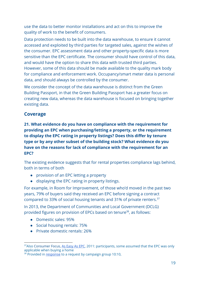use the data to better monitor installations and act on this to improve the quality of work to the benefit of consumers.

Data protection needs to be built into the data warehouse, to ensure it cannot accessed and exploited by third parties for targeted sales, against the wishes of the consumer. EPC assessment data and other property-specific data is more sensitive than the EPC certificate. The consumer should have control of this data, and would have the option to share this data with trusted third parties. However, some of this data should be made available to the quality mark body for compliance and enforcement work. Occupancy/smart meter data is personal data, and should always be controlled by the consumer.

We consider the concept of the data warehouse is distinct from the Green Building Passport, in that the Green Building Passport has a greater focus on creating new data, whereas the data warehouse is focused on bringing together existing data.

## **Coverage**

**21. What evidence do you have on compliance with the requirement for providing an EPC when purchasing/letting a property, or the requirement to display the EPC rating in property listings? Does this differ by tenure type or by any other subset of the building stock? What evidence do you have on the reasons for lack of compliance with the requirement for an EPC?**

The existing evidence suggests that for rental properties compliance lags behind, both in terms of both

- provision of an EPC letting a property
- displaying the EPC rating in property listings.

For example, in Room for Improvement, of those who'd moved in the past two years, 79% of buyers said they received an EPC before signing a contract compared to 33% of social housing tenants and 31% of private renters.<sup>37</sup>

In 2013, the Department of Communities and Local Government (DCLG) provided figures on provision of EPCs based on tenure<sup>38</sup>, as follows:

- Domestic sales: 95%
- Social housing rentals: 75%
- Private domestic rentals: 26%

<sup>&</sup>lt;sup>37</sup>Also Consumer Focus, As [Easy](http://webarchive.nationalarchives.gov.uk/20120117163324/http://www.consumerfocus.org.uk/uncategorized/as-easy-as-epc-consumer-views-on-the-content-and-format-of-the-energy-performance-certifcate) As EPC, 2011: participants, some assumed that the EPC was only applicable when buying a home

<sup>&</sup>lt;sup>38</sup> Provided in [response](http://www.1010global.org/sites/default/files/uploads/ckfinder/files/130816%20-%20Final%20response%20letter%20to%20D%20Timms.pdf) to a request by campaign group 10:10,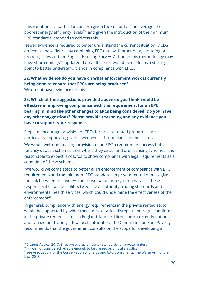This variation is a particular concern given the sector has, on average, the poorest energy efficiency levels<sup>39</sup>, and given the introduction of the minimum EPC standards intended to address this.

Newer evidence is required to better understand the current situation. DCLG arrived at these figures by combining EPC data with other data, including on property sales and the English Housing Survey. Although this methodology may have shortcomings<sup>40</sup>, updated data of this kind would be useful as a starting point to better understand trends in compliance with EPCs.

## **22. What evidence do you have on what enforcement work is currently being done to ensure that EPCs are being produced?**

We do not have evidence on this.

**23. Which of the suggestions provided above do you think would be effective in improving compliance with the requirement for an EPC, bearing in mind the other changes to EPCs being considered. Do you have any other suggestions? Please provide reasoning and any evidence you have to support your response.**

Steps to encourage provision of EPCs for private rented properties are particularly important, given lower levels of compliance in the sector.

We would welcome making provision of an EPC a requirement access both tenancy deposit schemes and, where they exist, landlord licensing schemes. It is reasonable to expect landlords to show compliance with legal requirements as a condition of these schemes.

 We would welcome steps to better align enforcement of compliance with EPC requirements and the minimum EPC standards in private rented homes, given the link between the two. As the consultation notes, in many cases these responsibilities will be split between local authority trading standards and environmental health services, which could undermine the effectiveness of their enforcement<sup>41</sup>.

In general, compliance with energy requirements in the private rented sector would be supported by wider measures to tackle disrepair and rogue landlords in the private rented sector. In England, landlord licensing is currently optional, and carried out by only a few local authorities. The Committee on Fuel Poverty recommends that the government consults on the scope for developing a

<sup>&</sup>lt;sup>39</sup>Citizens Advice, 2017, Effective energy efficiency [standards](https://www.citizensadvice.org.uk/about-us/policy/policy-research-topics/energy-policy-research-and-consultation-responses/energy-policy-research/effective-energy-efficiency-standards-for-private-renters/) for private renters

<sup>&</sup>lt;sup>40</sup> It was not considered reliable enough to be classed as official statistics

<sup>41</sup>See Association for the Conservation of Energy and CAG Consultants, The [Warm](https://www.ukace.org/wp-content/uploads/2018/07/Ebico-Policy-Report.pdf) Arm of the [Law,](https://www.ukace.org/wp-content/uploads/2018/07/Ebico-Policy-Report.pdf) 2018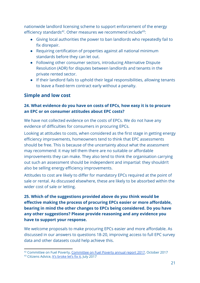nationwide landlord licensing scheme to support enforcement of the energy efficiency standards $42$ . Other measures we recommend include $43$ :

- Giving local authorities the power to ban landlords who repeatedly fail to fix disrepair.
- Requiring certification of properties against all national minimum standards before they can let out.
- Following other consumer sectors, introducing Alternative Dispute Resolution (ADR) for disputes between landlords and tenants in the private rented sector.
- If their landlord fails to uphold their legal responsibilities, allowing tenants to leave a fixed-term contract early without a penalty.

## **Simple and low cost**

## **24. What evidence do you have on costs of EPCs, how easy it is to procure an EPC or on consumer attitudes about EPC costs?**

We have not collected evidence on the costs of EPCs. We do not have any evidence of difficulties for consumers in procuring EPCs.

Looking at attitudes to costs, when considered as the first stage in getting energy efficiency improvements, homeowners tend to think that EPC assessments should be free. This is because of the uncertainty about what the assessment may recommend: it may tell them there are no suitable or affordable improvements they can make. They also tend to think the organisation carrying out such an assessment should be independent and impartial: they shouldn't also be selling energy efficiency improvements.

Attitudes to cost are likely to differ for mandatory EPCs required at the point of sale or rental. As discussed elsewhere, these are likely to be absorbed within the wider cost of sale or letting.

**25. Which of the suggestions provided above do you think would be effective making the process of procuring EPCs easier or more affordable, bearing in mind the other changes to EPCs being considered. Do you have any other suggestions? Please provide reasoning and any evidence you have to support your response.**

We welcome proposals to make procuring EPCs easier and more affordable. As discussed in our answers to questions 18-20, improving access to full EPC survey data and other datasets could help achieve this.

<sup>42</sup> [Committee](https://www.gov.uk/government/publications/committee-on-fuel-poverty-annual-report-october-2017) on Fuel Poverty, Committee on Fuel Poverty annual report 2017, October 2017

<sup>43</sup> Citizens Advice, It's [broke](https://www.citizensadvice.org.uk/about-us/policy/policy-research-topics/housing-policy-research/its-broke-lets-fix-it/) let's fix it, July 2017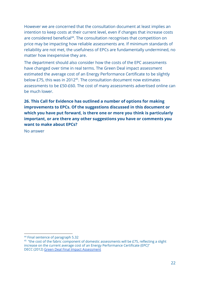However we are concerned that the consultation document at least implies an intention to keep costs at their current level, even if changes that increase costs are considered beneficial<sup>44</sup>. The consultation recognises that competition on price may be impacting how reliable assessments are. If minimum standards of reliability are not met, the usefulness of EPCs are fundamentally undermined, no matter how inexpensive they are.

The department should also consider how the costs of the EPC assessments have changed over time in real terms. The Green Deal impact assessment estimated the average cost of an Energy Performance Certificate to be slightly below £75, this was in 2012<sup>45</sup>. The consultation document now estimates assessments to be £50-£60. The cost of many assessments advertised online can be much lower.

**26. This Call for Evidence has outlined a number of options for making improvements to EPCs. Of the suggestions discussed in this document or which you have put forward, is there one or more you think is particularly important, or are there any other suggestions you have or comments you want to make about EPCs?**

No answer

<sup>44</sup> Final sentence of paragraph 5.32

 $^{45}$  "the cost of the fabric component of domestic assessments will be £75, reflecting a slight increase on the current average cost of an Energy Performance Certificate (EPC)" DECC (2012) Green Deal Final Impact [Assessment](https://assets.publishing.service.gov.uk/government/uploads/system/uploads/attachment_data/file/70265/5533-final-stage-impact-assessment-for-the-green-deal-a.pdf)